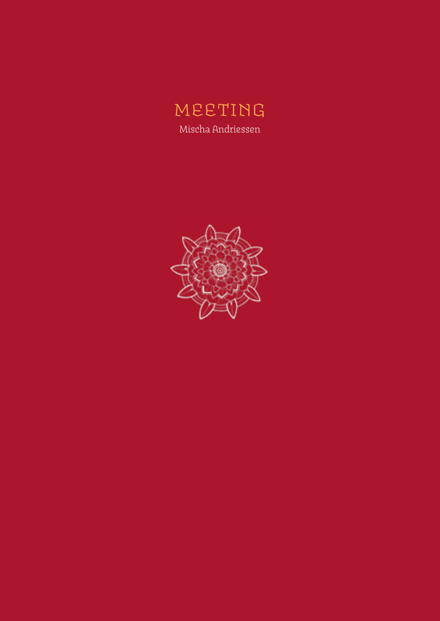# meeting Mischa Andriessen

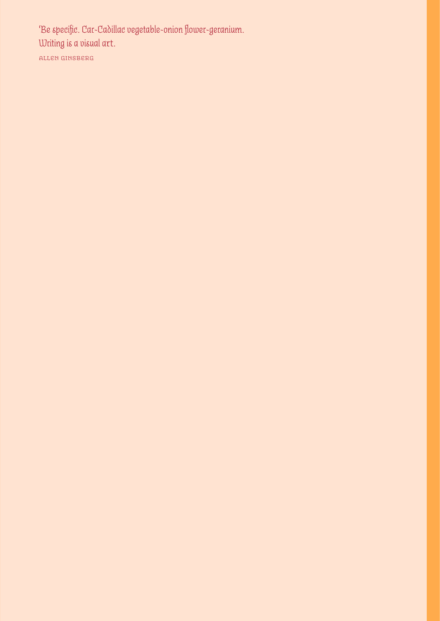*'Be specific. Car-Cadillac vegetable-onion flower-geranium. Writing is a visual a*rt. allen ginsberg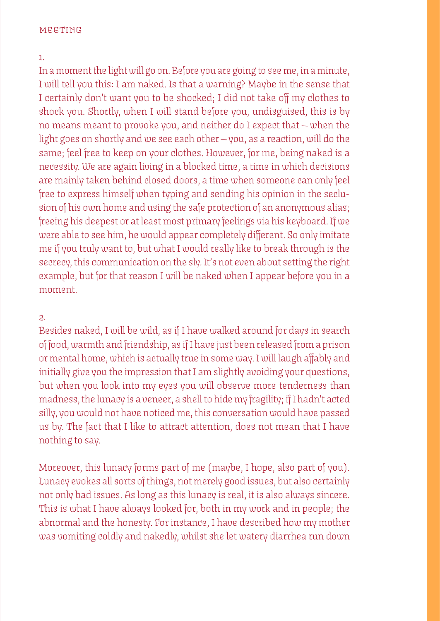#### meeting

#### 1.

In a moment the light will go on. Before you are going to see me, in a minute, I will tell you this: I am naked. Is that a warning? Maybe in the sense that I certainly don't want you to be shocked; I did not take off my clothes to shock you. Shortly, when I will stand before you, undisguised, this is by no means meant to provoke you, and neither do I expect that — when the light goes on shortly and we see each other — you, as a reaction, will do the same; feel free to keep on your clothes. However, for me, being naked is a necessity. We are again living in a blocked time, a time in which decisions are mainly taken behind closed doors, a time when someone can only feel free to express himself when typing and sending his opinion in the seclusion of his own home and using the safe protection of an anonymous alias; freeing his deepest or at least most primary feelings via his keyboard. If we were able to see him, he would appear completely different. So only imitate me if you truly want to, but what I would really like to break through is the secrecy, this communication on the sly. It's not even about setting the right example, but for that reason I will be naked when I appear before you in a moment.

# 2.

Besides naked, I will be wild, as if I have walked around for days in search of food, warmth and friendship, as if I have just been released from a prison or mental home, which is actually true in some way. I will laugh affably and initially give you the impression that I am slightly avoiding your questions, but when you look into my eyes you will observe more tenderness than madness, the lunacy is a veneer, a shell to hide my fragility; if I hadn't acted silly, you would not have noticed me, this conversation would have passed us by. The fact that I like to attract attention, does not mean that I have nothing to say.

Moreover, this lunacy forms part of me (maybe, I hope, also part of you). Lunacy evokes all sorts of things, not merely good issues, but also certainly not only bad issues. As long as this lunacy is real, it is also always sincere. This is what I have always looked for, both in my work and in people; the abnormal and the honesty. For instance, I have described how my mother was vomiting coldly and nakedly, whilst she let watery diarrhea run down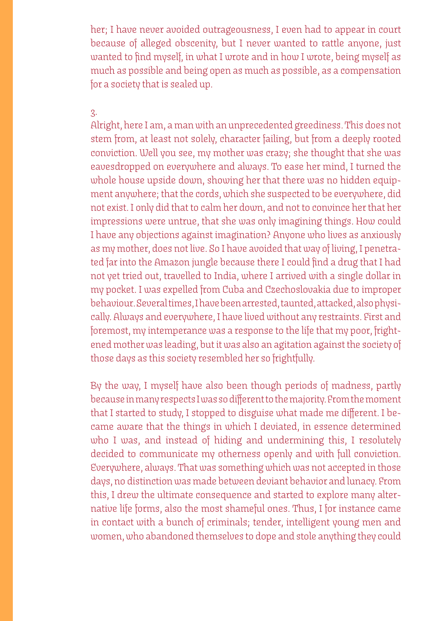her; I have never avoided outrageousness, I even had to appear in court because of alleged obscenity, but I never wanted to rattle anyone, just wanted to find myself, in what I wrote and in how I wrote, being myself as much as possible and being open as much as possible, as a compensation for a society that is sealed up.

### 3.

Alright, here I am, a man with an unprecedented greediness. This does not stem from, at least not solely, character failing, but from a deeply rooted conviction. Well you see, my mother was crazy; she thought that she was eavesdropped on everywhere and always. To ease her mind, I turned the whole house upside down, showing her that there was no hidden equipment anywhere; that the cords, which she suspected to be everywhere, did not exist. I only did that to calm her down, and not to convince her that her impressions were untrue, that she was only imagining things. How could I have any objections against imagination? Anyone who lives as anxiously as my mother, does not live. So I have avoided that way of living, I penetrated far into the Amazon jungle because there I could find a drug that I had not yet tried out, travelled to India, where I arrived with a single dollar in my pocket. I was expelled from Cuba and Czechoslovakia due to improper behaviour. Several times, I have been arrested, taunted, attacked, also physically. Always and everywhere, I have lived without any restraints. First and foremost, my intemperance was a response to the life that my poor, frightened mother was leading, but it was also an agitation against the society of those days as this society resembled her so frightfully.

By the way, I myself have also been though periods of madness, partly because in many respects I was so different to the majority. From the moment that I started to study, I stopped to disguise what made me different. I became aware that the things in which I deviated, in essence determined who I was, and instead of hiding and undermining this, I resolutely decided to communicate my otherness openly and with full conviction. Everywhere, always. That was something which was not accepted in those days, no distinction was made between deviant behavior and lunacy. From this, I drew the ultimate consequence and started to explore many alternative life forms, also the most shameful ones. Thus, I for instance came in contact with a bunch of criminals; tender, intelligent young men and women, who abandoned themselves to dope and stole anything they could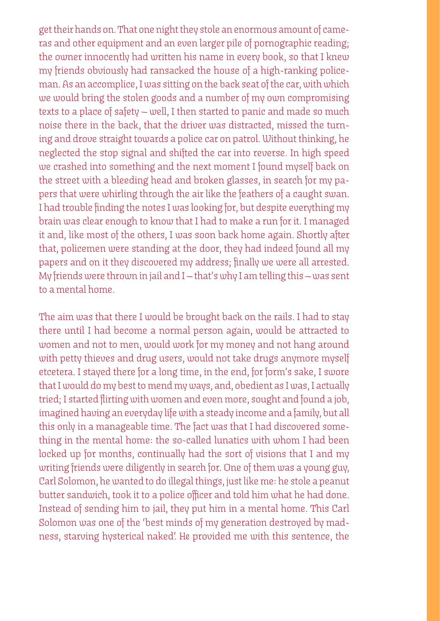get their hands on. That one night they stole an enormous amount of cameras and other equipment and an even larger pile of pornographic reading; the owner innocently had written his name in every book, so that I knew my friends obviously had ransacked the house of a high-ranking policeman. As an accomplice, I was sitting on the back seat of the car, with which we would bring the stolen goods and a number of my own compromising texts to a place of safety — well, I then started to panic and made so much noise there in the back, that the driver was distracted, missed the turning and drove straight towards a police car on patrol. Without thinking, he neglected the stop signal and shifted the car into reverse. In high speed we crashed into something and the next moment I found myself back on the street with a bleeding head and broken glasses, in search for my papers that were whirling through the air like the feathers of a caught swan. I had trouble finding the notes I was looking for, but despite everything my brain was clear enough to know that I had to make a run for it. I managed it and, like most of the others, I was soon back home again. Shortly after that, policemen were standing at the door, they had indeed found all my papers and on it they discovered my address; finally we were all arrested. My friends were thrown in jail and I — that's why I am telling this — was sent to a mental home.

The aim was that there I would be brought back on the rails. I had to stay there until I had become a normal person again, would be attracted to women and not to men, would work for my money and not hang around with petty thieves and drug users, would not take drugs anymore myself etcetera. I stayed there for a long time, in the end, for form's sake, I swore that I would do my best to mend my ways, and, obedient as I was, I actually tried; I started flirting with women and even more, sought and found a job, imagined having an everyday life with a steady income and a family, but all this only in a manageable time. The fact was that I had discovered something in the mental home: the so-called lunatics with whom I had been locked up for months, continually had the sort of visions that I and my writing friends were diligently in search for. One of them was a young guy, Carl Solomon, he wanted to do illegal things, just like me: he stole a peanut butter sandwich, took it to a police officer and told him what he had done. Instead of sending him to jail, they put him in a mental home. This Carl Solomon was one of the 'best minds of my generation destroyed by madness, starving hysterical naked'. *He* provided me with this sentence, the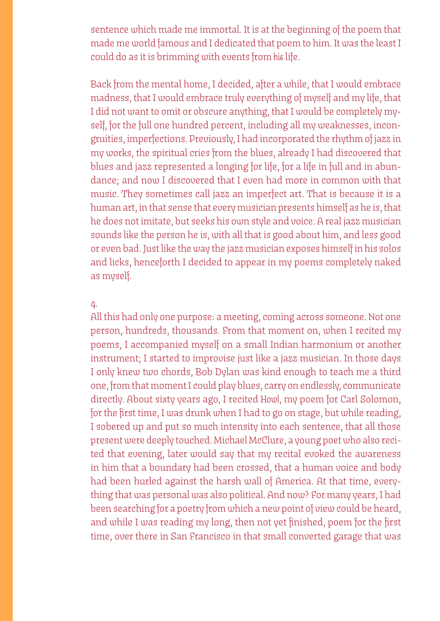sentence which made me immortal. It is at the beginning of the poem that made me world famous and I dedicated that poem to him. It was the least I could do as it is brimming with events from *his* life.

Back from the mental home, I decided, after a while, that I would embrace madness, that I would embrace truly everything of myself and my life, that I did not want to omit or obscure anything, that I would be completely myself, for the full one hundred percent, including all my weaknesses, incongruities, imperfections. Previously, I had incorporated the rhythm of jazz in my works, the spiritual cries from the blues, already I had discovered that blues and jazz represented a longing for life, for a life in full and in abundance; and now I discovered that I even had more in common with that music. They sometimes call jazz an imperfect art. That is because it is a human art, in that sense that every musician presents himself as he is, that he does not imitate, but seeks his own style and voice. A real jazz musician sounds like the person he is, with all that is good about him, and less good or even bad. Just like the way the jazz musician exposes himself in his solos and licks, henceforth I decided to appear in my poems completely naked as myself.

# 4.

All this had only one purpose: a meeting, coming across someone. Not one person, hundreds, thousands. From that moment on, when I recited my poems, I accompanied myself on a small Indian harmonium or another instrument; I started to improvise just like a jazz musician. In those days I only knew two chords, Bob Dylan was kind enough to teach me a third one, from that moment I could play blues, carry on endlessly, communicate directly. About sixty years ago, I recited *Howl*, my poem for Carl Solomon, for the first time, I was drunk when I had to go on stage, but while reading, I sobered up and put so much intensity into each sentence, that all those present were deeply touched. Michael McClure, a young poet who also recited that evening, later would say that my recital evoked the awareness in him that a boundary had been crossed, that a human voice and body had been hurled against the harsh wall of America. At that time, everything that was personal was also political. And now? For many years, I had been searching for a poetry from which a new point of view could be heard, and while I was reading my long, then not yet finished, poem for the first time, over there in San Francisco in that small converted garage that was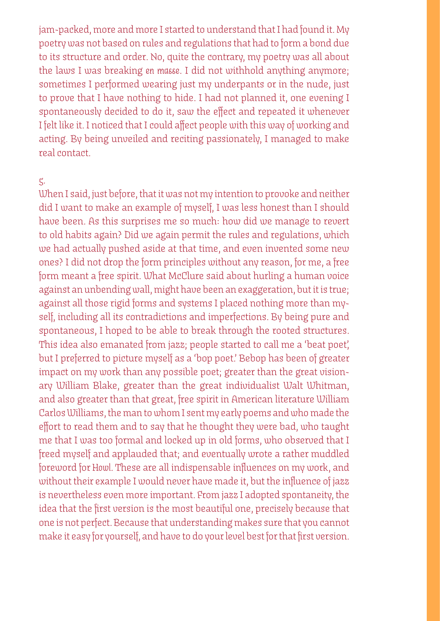jam-packed, more and more I started to understand that I had found it. My poetry was not based on rules and regulations that had to form a bond due to its structure and order. No, quite the contrary, my poetry was all about the laws I was breaking *en masse*. I did not withhold anything anymore; sometimes I performed wearing just my underpants or in the nude, just to prove that I have nothing to hide. I had not planned it, one evening I spontaneously decided to do it, saw the effect and repeated it whenever I felt like it. I noticed that I could affect people with this way of working and acting. By being unveiled and reciting passionately, I managed to make real contact

# 5.

When I said, just before, that it was not my intention to provoke and neither did I want to make an example of myself, I was less honest than I should have been. As this surprises me so much: how did we manage to revert to old habits again? Did we again permit the rules and regulations, which we had actually pushed aside at that time, and even invented some new ones? I did not drop the form principles without any reason, for me, a free form meant a free spirit. What McClure said about hurling a human voice against an unbending wall, might have been an exaggeration, but it is true; against all those rigid forms and systems I placed nothing more than myself, including all its contradictions and imperfections. By being pure and spontaneous, I hoped to be able to break through the rooted structures. This idea also emanated from jazz; people started to call me a 'beat poet', but I preferred to picture myself as a 'bop poet.' Bebop has been of greater impact on my work than any possible poet; greater than the great visionary William Blake, greater than the great individualist Walt Whitman, and also greater than that great, free spirit in American literature William Carlos Williams, the man to whom I sent my early poems and who made the effort to read them and to say that he thought they were bad, who taught me that I was too formal and locked up in old forms, who observed that I freed myself and applauded that; and eventually wrote a rather muddled foreword for *Howl*. These are all indispensable influences on my work, and without their example I would never have made it, but the influence of jazz is nevertheless even more important. From jazz I adopted spontaneity, the idea that the first version is the most beautiful one, precisely because that one is not perfect. Because that understanding makes sure that you cannot make it easy for yourself, and have to do your level best for that first version.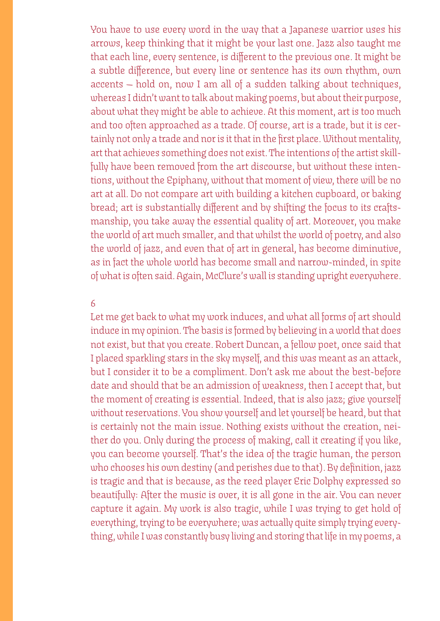You have to use every word in the way that a Japanese warrior uses his arrows, keep thinking that it might be your last one. Jazz also taught me that each line, every sentence, is different to the previous one. It might be a subtle difference, but every line or sentence has its own rhythm, own accents — hold on, now I am all of a sudden talking about techniques, whereas I didn't want to talk about making poems, but about their purpose, about what they might be able to achieve. At this moment, art is too much and too often approached as a trade. Of course, art is a trade, but it is certainly not only a trade and nor is it that in the first place. Without mentality, art that achieves something does not exist. The intentions of the artist skillfully have been removed from the art discourse, but without these intentions, without the Epiphany, without that moment of view, there will be no art at all. Do not compare art with building a kitchen cupboard, or baking bread; art is substantially different and by shifting the focus to its craftsmanship, you take away the essential quality of art. Moreover, you make the world of art much smaller, and that whilst the world of poetry, and also the world of jazz, and even that of art in general, has become diminutive, as in fact the whole world has become small and narrow-minded, in spite of what is often said. Again, McClure's wall is standing upright everywhere.

# 6

Let me get back to what my work induces, and what all forms of art should induce in my opinion. The basis is formed by believing in a world that does not exist, but that you create. Robert Duncan, a fellow poet, once said that I placed sparkling stars in the sky myself, and this was meant as an attack, but I consider it to be a compliment. Don't ask me about the best-before date and should that be an admission of weakness, then I accept that, but the moment of creating is essential. Indeed, that is also jazz; give yourself without reservations. You show yourself and let yourself be heard, but that is certainly not the main issue. Nothing exists without the creation, neither do you. Only during the process of making, call it creating if you like, you can become yourself. That's the idea of the tragic human, the person who chooses his own destiny (and perishes due to that). By definition, jazz is tragic and that is because, as the reed player Eric Dolphy expressed so beautifully: After the music is over, it is all gone in the air. You can never capture it again. My work is also tragic, while I was trying to get hold of everything, trying to be everywhere; was actually quite simply trying everything, while I was constantly busy living and storing that life in my poems, a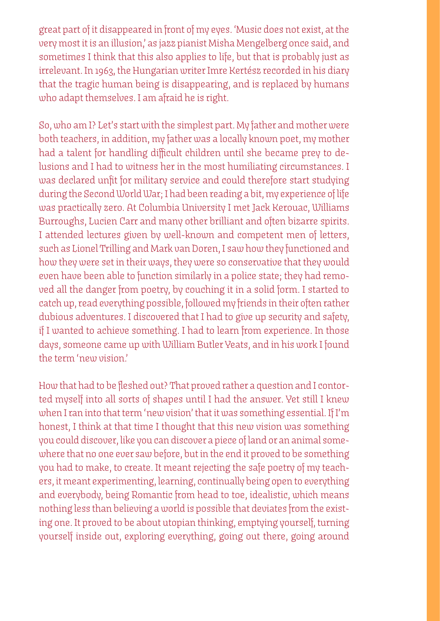great part of it disappeared in front of my eyes. 'Music does not exist, at the very most it is an illusion,' as jazz pianist Misha Mengelberg once said, and sometimes I think that this also applies to life, but that is probably just as irrelevant. In 1963, the Hungarian writer Imre Kertész recorded in his diary that the tragic human being is disappearing, and is replaced by humans who adapt themselves. I am afraid he is right.

So, who am I? Let's start with the simplest part. My father and mother were both teachers, in addition, my father was a locally known poet, my mother had a talent for handling difficult children until she became prey to delusions and I had to witness her in the most humiliating circumstances. I was declared unfit for military service and could therefore start studying during the Second World War; I had been reading a bit, my experience of life was practically zero. At Columbia University I met Jack Kerouac, Williams Burroughs, Lucien Carr and many other brilliant and often bizarre spirits. I attended lectures given by well-known and competent men of letters, such as Lionel Trilling and Mark van Doren, I saw how they functioned and how they were set in their ways, they were so conservative that they would even have been able to function similarly in a police state; they had removed all the danger from poetry, by couching it in a solid form. I started to catch up, read everything possible, followed my friends in their often rather dubious adventures. I discovered that I had to give up security and safety, if I wanted to achieve something. I had to learn from experience. In those days, someone came up with William Butler Yeats, and in his work I found the term 'new vision.'

How that had to be fleshed out? That proved rather a question and I contorted myself into all sorts of shapes until I had the answer. Yet still I knew when I ran into that term 'new vision' that it was something essential. If I'm honest, I think at that time I thought that this new vision was something you could discover, like you can discover a piece of land or an animal somewhere that no one ever saw before, but in the end it proved to be something you had to make, to create. It meant rejecting the safe poetry of my teachers, it meant experimenting, learning, continually being open to everything and everybody, being Romantic from head to toe, idealistic, which means nothing less than believing a world is possible that deviates from the existing one. It proved to be about utopian thinking, emptying yourself, turning yourself inside out, exploring everything, going out there, going around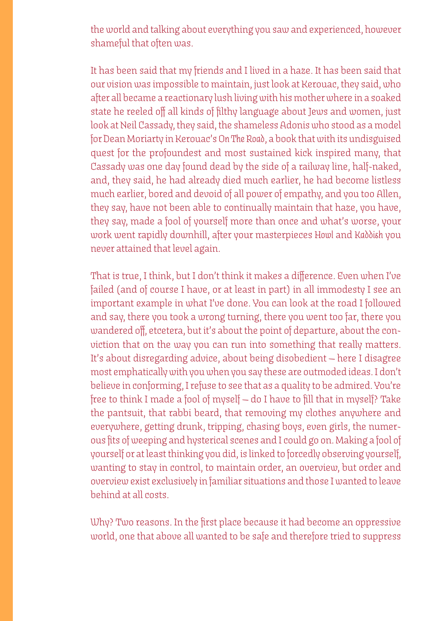the world and talking about everything you saw and experienced, however shameful that often was.

It has been said that my friends and I lived in a haze. It has been said that our vision was impossible to maintain, just look at Kerouac, they said, who after all became a reactionary lush living with his mother where in a soaked state he reeled off all kinds of filthy language about Jews and women, just look at Neil Cassady, they said, the shameless Adonis who stood as a model for Dean Moriarty in Kerouac's *On The Road*, a book that with its undisguised quest for the profoundest and most sustained kick inspired many, that Cassady was one day found dead by the side of a railway line, half-naked, and, they said, he had already died much earlier, he had become listless much earlier, bored and devoid of all power of empathy, and you too Allen, they say, have not been able to continually maintain that haze, you have, they say, made a fool of yourself more than once and what's worse, your work went rapidly downhill, after your masterpieces *Howl* and *Kaddish* you never attained that level again.

That is true, I think, but I don't think it makes a difference. Even when I've failed (and of course I have, or at least in part) in all immodesty I see an important example in what I've done. You can look at the road I followed and say, there you took a wrong turning, there you went too far, there you wandered off, etcetera, but it's about the point of departure, about the conviction that on the way you can run into something that really matters. It's about disregarding advice, about being disobedient — here I disagree most emphatically with you when you say these are outmoded ideas. I don't believe in conforming, I refuse to see that as a quality to be admired. You're free to think I made a fool of myself — do I have to fill that in myself? Take the pantsuit, that rabbi beard, that removing my clothes anywhere and everywhere, getting drunk, tripping, chasing boys, even girls, the numerous fits of weeping and hysterical scenes and I could go on. Making a fool of yourself or at least thinking you did, is linked to forcedly observing yourself, wanting to stay in control, to maintain order, an overview, but order and overview exist exclusively in familiar situations and those I wanted to leave behind at all costs.

Why? Two reasons. In the first place because it had become an oppressive world, one that above all wanted to be safe and therefore tried to suppress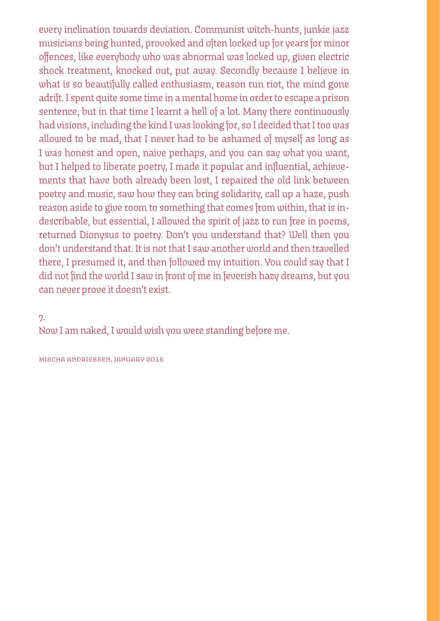every inclination towards deviation. Communist witch-hunts, junkie jazz musicians being hunted, provoked and often locked up for years for minor offences, like everybody who was abnormal was locked up, given electric shock treatment, knocked out, put away. Secondly because I believe in what is so beautifully called enthusiasm, reason run riot, the mind gone adrift. I spent quite some time in a mental home in order to escape a prison sentence, but in that time I learnt a hell of a lot. Many there continuously had visions, including the kind I was looking for, so I decided that I too was allowed to be mad, that I never had to be ashamed of myself as long as I was honest and open, naive perhaps, and you can say what you want, but I helped to liberate poetry, I made it popular and influential, achievements that have both already been lost, I repaired the old link between poetry and music, saw how they can bring solidarity, call up a haze, push reason aside to give room to something that comes from within, that is indescribable, but essential, I allowed the spirit of jazz to run free in poems, returned Dionysus to poetry. Don't you understand that? Well then you don't understand that. It is not that I saw another world and then travelled there, I presumed it, and then followed my intuition. You could say that I did not find the world I saw in front of me in feverish hazy dreams, but you can never prove it doesn't exist.

# 7.

Now I am naked, I would wish you were standing before me.

mischa andriessen, january 2016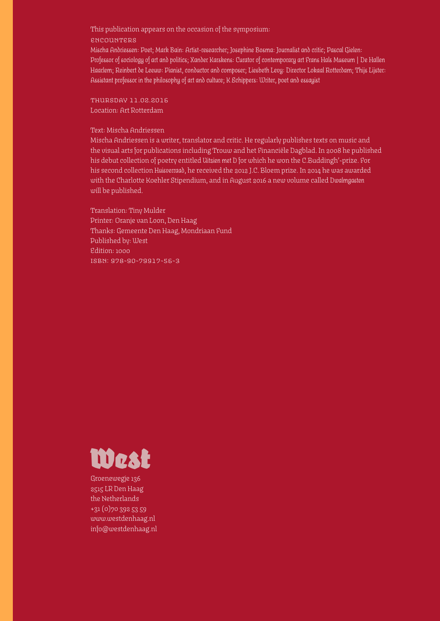This publication appears on the occasion of the symposium:

#### encounters

*Mischa Andriessen: Poet; Mark Bain: Artist-researcher; Josephine Bosma: Journalist and critic; Pascal Gielen: Professor of sociology of art and politics; Xander Karskens: Curator of contemporary art Frans Hals Museum | De Hallen Haarlem; Reinbert de Leeuw: Pianist, conductor and composer; Liesbeth Levy: Director Lokaal Rotterdam; Thijs Lijster: Assistant professor in the philosophy of art and culture; K Schippers: Writer, poet and essayist*

thursday 11.02.2016 Location: Art Rotterdam

#### Text: Mischa Andriessen

Mischa Andriessen is a writer, translator and critic. He regularly publishes texts on music and the visual arts for publications including Trouw and het Financiële Dagblad. In 2008 he published his debut collection of poetry entitled *Uitzien met D* for which he won the C.Buddingh'-prize. For his second collection *Huisverraad*, he received the 2012 J.C. Bloem prize. In 2014 he was awarded with the Charlotte Koehler Stipendium, and in August 2016 a new volume called *Dwalmgasten*  will be published.

Translation: Tiny Mulder Printer: Oranje van Loon, Den Haag Thanks: Gemeente Den Haag, Mondriaan Fund Published by: West Edition: 1000 isbn: 978-90-79917-56-3



Groenewegje 136 2515 LR Den Haag the Netherlands +31 (0)70 392 53 59 www.westdenhaag.nl info@westdenhaag.nl